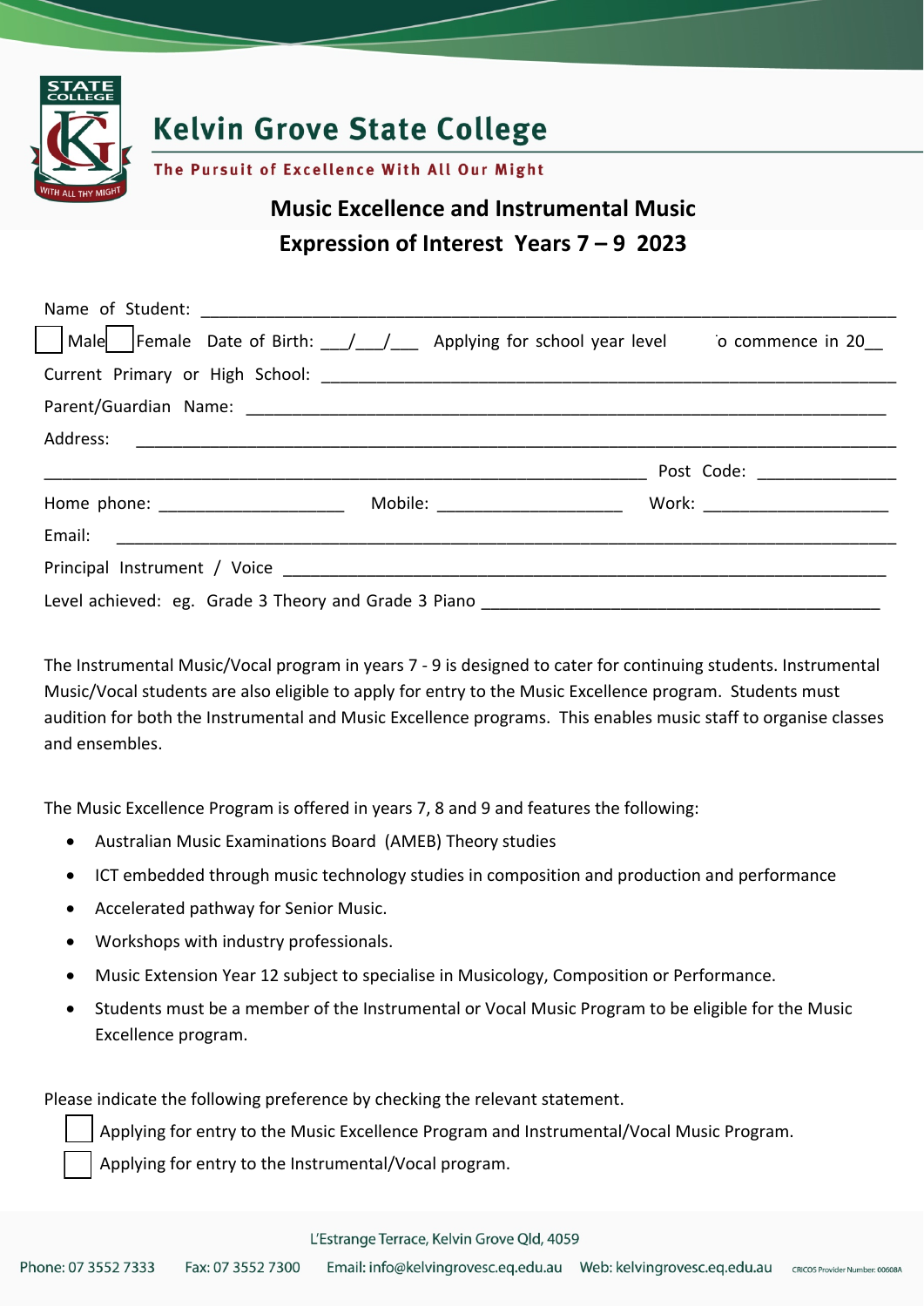

# **Kelvin Grove State College**

The Pursuit of Excellence With All Our Might

# **Music Excellence and Instrumental Music Expression of Interest Years 7 – 9 2023**

| Male Female Date of Birth: / / / Applying for school year level _ o commence in 20_ |  |  |
|-------------------------------------------------------------------------------------|--|--|
|                                                                                     |  |  |
|                                                                                     |  |  |
|                                                                                     |  |  |
|                                                                                     |  |  |
|                                                                                     |  |  |
|                                                                                     |  |  |
|                                                                                     |  |  |
|                                                                                     |  |  |

The Instrumental Music/Vocal program in years 7 ‐ 9 is designed to cater for continuing students. Instrumental Music/Vocal students are also eligible to apply for entry to the Music Excellence program. Students must audition for both the Instrumental and Music Excellence programs. This enables music staff to organise classes and ensembles.

The Music Excellence Program is offered in years 7, 8 and 9 and features the following:

- Australian Music Examinations Board (AMEB) Theory studies
- ICT embedded through music technology studies in composition and production and performance
- Accelerated pathway for Senior Music.
- Workshops with industry professionals.
- Music Extension Year 12 subject to specialise in Musicology, Composition or Performance.
- Students must be a member of the Instrumental or Vocal Music Program to be eligible for the Music Excellence program.

Please indicate the following preference by checking the relevant statement.

Applying for entry to the Music Excellence Program and Instrumental/Vocal Music Program.

Applying for entry to the Instrumental/Vocal program.

#### L'Estrange Terrace, Kelvin Grove Qld, 4059